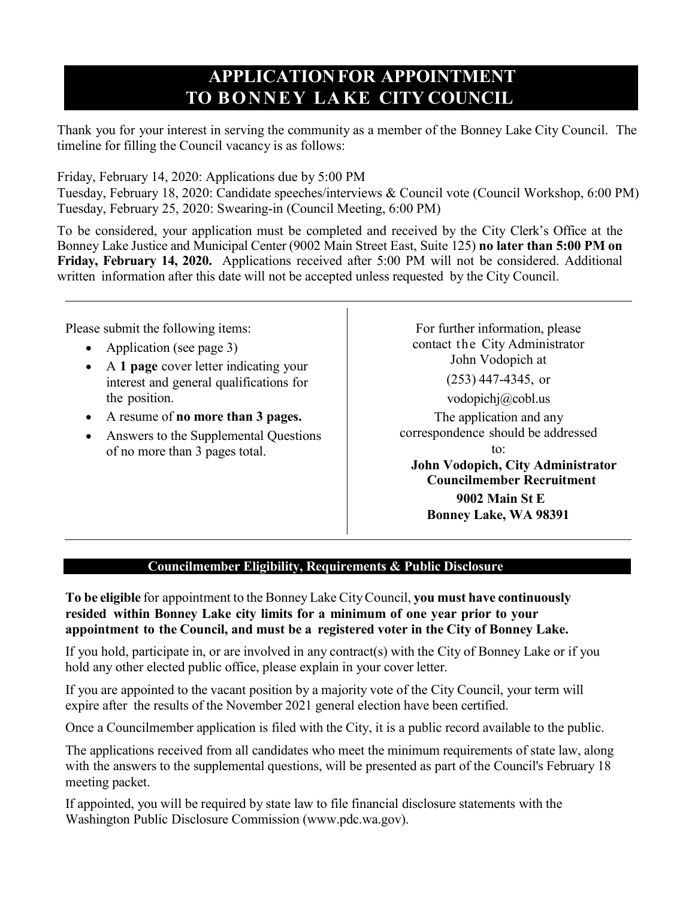# **APPLICATIONFOR APPOINTMENT TO BONNEY LA KE CITY COUNCIL**

Thank you for your interest in serving the community as a member of the Bonney Lake City Council. The timeline for filling the Council vacancy is as follows:

Friday, February 14, 2020: Applications due by 5:00 PM

Tuesday, February 18, 2020: Candidate speeches/interviews & Council vote (Council Workshop, 6:00 PM) Tuesday, February 25, 2020: Swearing-in (Council Meeting, 6:00 PM)

To be considered, your application must be completed and received by the City Clerk's Office at the Bonney Lake Justice and Municipal Center (9002 Main Street East, Suite 125) **no later than 5:00 PM on Friday, February 14, 2020.** Applications received after 5:00 PM will not be considered. Additional written information after this date will not be accepted unless requested by the City Council.

Please submit the following items:

- Application (see page 3)
- A **1 page** cover letter indicating your interest and general qualifications for the position.
- A resume of **no more than 3 pages.**
- Answers to the Supplemental Questions of no more than 3 pages total.

For further information, please contact the City Administrator John Vodopich at (253) 447-4345, or [vodopichj@cobl.us](mailto:vodopichj@cobl.us)

The application and any correspondence should be addressed to:

**John Vodopich, City Administrator Councilmember Recruitment 9002 Main St E Bonney Lake, WA 98391**

# **Councilmember Eligibility, Requirements & Public Disclosure**

**To be eligible** for appointment to the Bonney Lake CityCouncil, **you must have continuously resided within Bonney Lake city limits for a minimum of one year prior to your appointment to the Council, and must be a registered voter in the City of Bonney Lake.**

If you hold, participate in, or are involved in any contract(s) with the City of Bonney Lake or if you hold any other elected public office, please explain in your cover letter.

If you are appointed to the vacant position by a majority vote of the City Council, your term will expire after the results of the November 2021 general election have been certified.

Once a Councilmember application is filed with the City, it is a public record available to the public.

The applications received from all candidates who meet the minimum requirements of state law, along with the answers to the supplemental questions, will be presented as part of the Council's February 18 meeting packet.

If appointed, you will be required by state law to file financial disclosure statements with the Washington Public Disclosure Commission [\(www.pdc.wa.gov\)](http://www.pdc.wa.gov/).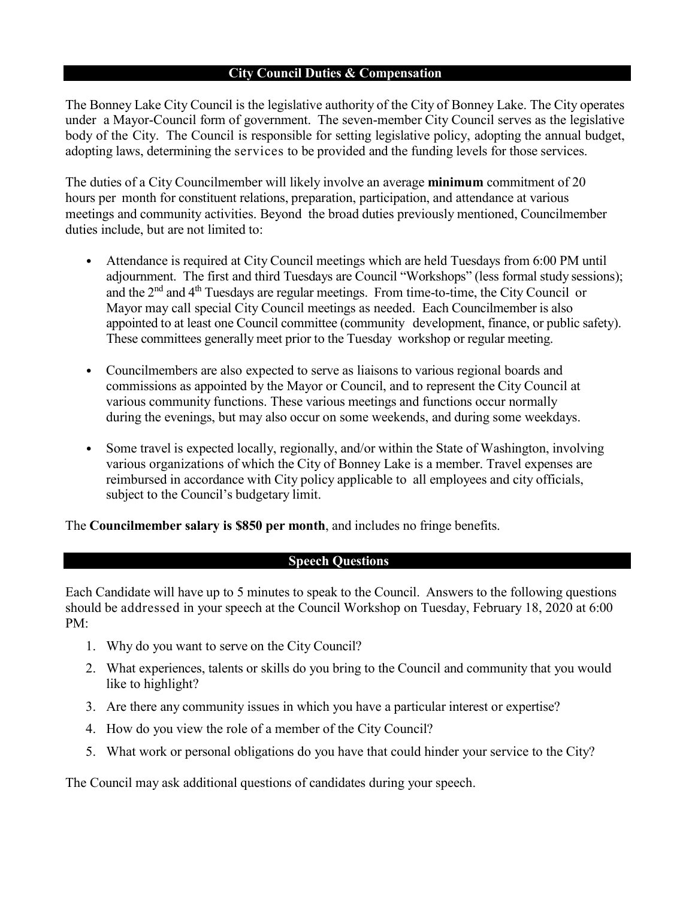#### **City Council Duties & Compensation**

The Bonney Lake City Council is the legislative authority of the City of Bonney Lake. The City operates under a Mayor-Council form of government. The seven-member City Council serves as the legislative body of the City. The Council is responsible for setting legislative policy, adopting the annual budget, adopting laws, determining the services to be provided and the funding levels for those services.

The duties of a City Councilmember will likely involve an average **minimum** commitment of 20 hours per month for constituent relations, preparation, participation, and attendance at various meetings and community activities. Beyond the broad duties previously mentioned, Councilmember duties include, but are not limited to:

- Attendance is required at City Council meetings which are held Tuesdays from 6:00 PM until adjournment. The first and third Tuesdays are Council "Workshops" (less formal study sessions); and the 2<sup>nd</sup> and 4<sup>th</sup> Tuesdays are regular meetings. From time-to-time, the City Council or Mayor may call special City Council meetings as needed. Each Councilmember is also appointed to at least one Council committee (community development, finance, or public safety). These committees generally meet prior to the Tuesday workshop or regular meeting.
- Councilmembers are also expected to serve as liaisons to various regional boards and commissions as appointed by the Mayor or Council, and to represent the City Council at various community functions. These various meetings and functions occur normally during the evenings, but may also occur on some weekends, and during some weekdays.
- Some travel is expected locally, regionally, and/or within the State of Washington, involving various organizations of which the City of Bonney Lake is a member. Travel expenses are reimbursed in accordance with City policy applicable to all employees and city officials, subject to the Council's budgetary limit.

The **Councilmember salary is \$850 per month**, and includes no fringe benefits.

## **Speech Questions**

Each Candidate will have up to 5 minutes to speak to the Council. Answers to the following questions should be addressed in your speech at the Council Workshop on Tuesday, February 18, 2020 at 6:00 PM:

- 1. Why do you want to serve on the City Council?
- 2. What experiences, talents or skills do you bring to the Council and community that you would like to highlight?
- 3. Are there any community issues in which you have a particular interest or expertise?
- 4. How do you view the role of a member of the City Council?
- 5. What work or personal obligations do you have that could hinder your service to the City?

The Council may ask additional questions of candidates during your speech.